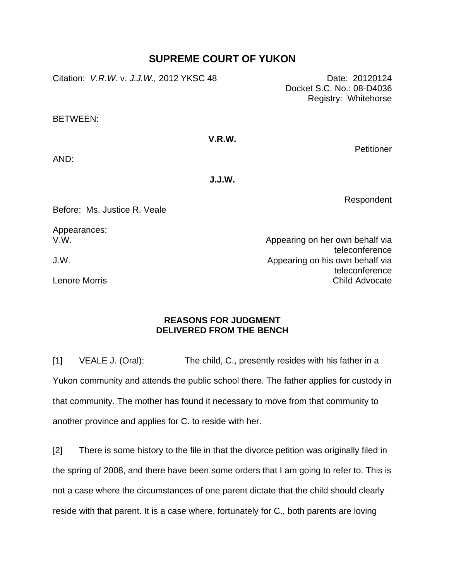## **SUPREME COURT OF YUKON**

Citation: *V.R.W.* v. *J.J.W.,* 2012 YKSC 48 Date: 20120124

Docket S.C. No.: 08-D4036 Registry: Whitehorse

BETWEEN:

## **V.R.W.**

**Petitioner** 

AND:

**J.J.W.** 

Respondent

Before: Ms. Justice R. Veale

Appearances: V.W.

J.W.

Lenore Morris

Appearing on her own behalf via teleconference Appearing on his own behalf via teleconference Child Advocate

## **REASONS FOR JUDGMENT DELIVERED FROM THE BENCH**

[1] VEALE J. (Oral): The child, C., presently resides with his father in a Yukon community and attends the public school there. The father applies for custody in that community. The mother has found it necessary to move from that community to another province and applies for C. to reside with her.

[2] There is some history to the file in that the divorce petition was originally filed in the spring of 2008, and there have been some orders that I am going to refer to. This is not a case where the circumstances of one parent dictate that the child should clearly reside with that parent. It is a case where, fortunately for C., both parents are loving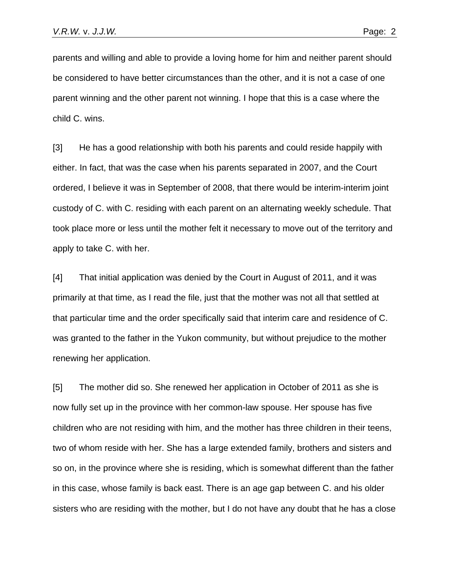parents and willing and able to provide a loving home for him and neither parent should be considered to have better circumstances than the other, and it is not a case of one parent winning and the other parent not winning. I hope that this is a case where the child C. wins.

[3] He has a good relationship with both his parents and could reside happily with either. In fact, that was the case when his parents separated in 2007, and the Court ordered, I believe it was in September of 2008, that there would be interim-interim joint custody of C. with C. residing with each parent on an alternating weekly schedule. That took place more or less until the mother felt it necessary to move out of the territory and apply to take C. with her.

[4] That initial application was denied by the Court in August of 2011, and it was primarily at that time, as I read the file, just that the mother was not all that settled at that particular time and the order specifically said that interim care and residence of C. was granted to the father in the Yukon community, but without prejudice to the mother renewing her application.

[5] The mother did so. She renewed her application in October of 2011 as she is now fully set up in the province with her common-law spouse. Her spouse has five children who are not residing with him, and the mother has three children in their teens, two of whom reside with her. She has a large extended family, brothers and sisters and so on, in the province where she is residing, which is somewhat different than the father in this case, whose family is back east. There is an age gap between C. and his older sisters who are residing with the mother, but I do not have any doubt that he has a close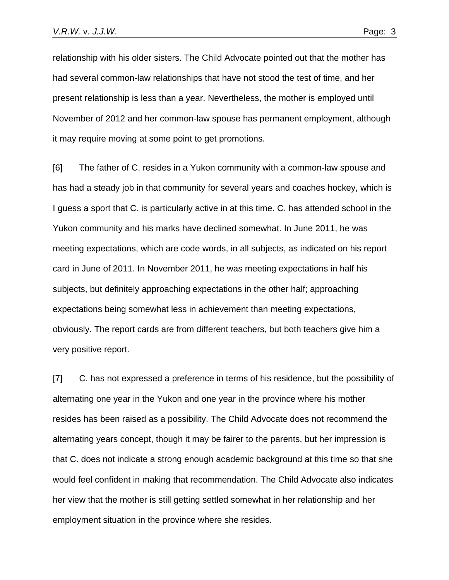relationship with his older sisters. The Child Advocate pointed out that the mother has had several common-law relationships that have not stood the test of time, and her present relationship is less than a year. Nevertheless, the mother is employed until November of 2012 and her common-law spouse has permanent employment, although it may require moving at some point to get promotions.

[6] The father of C. resides in a Yukon community with a common-law spouse and has had a steady job in that community for several years and coaches hockey, which is I guess a sport that C. is particularly active in at this time. C. has attended school in the Yukon community and his marks have declined somewhat. In June 2011, he was meeting expectations, which are code words, in all subjects, as indicated on his report card in June of 2011. In November 2011, he was meeting expectations in half his subjects, but definitely approaching expectations in the other half; approaching expectations being somewhat less in achievement than meeting expectations, obviously. The report cards are from different teachers, but both teachers give him a very positive report.

[7] C. has not expressed a preference in terms of his residence, but the possibility of alternating one year in the Yukon and one year in the province where his mother resides has been raised as a possibility. The Child Advocate does not recommend the alternating years concept, though it may be fairer to the parents, but her impression is that C. does not indicate a strong enough academic background at this time so that she would feel confident in making that recommendation. The Child Advocate also indicates her view that the mother is still getting settled somewhat in her relationship and her employment situation in the province where she resides.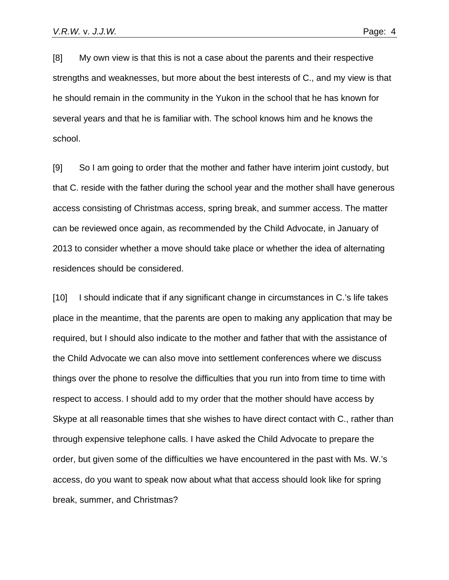[8] My own view is that this is not a case about the parents and their respective strengths and weaknesses, but more about the best interests of C., and my view is that he should remain in the community in the Yukon in the school that he has known for several years and that he is familiar with. The school knows him and he knows the school.

[9] So I am going to order that the mother and father have interim joint custody, but that C. reside with the father during the school year and the mother shall have generous access consisting of Christmas access, spring break, and summer access. The matter can be reviewed once again, as recommended by the Child Advocate, in January of 2013 to consider whether a move should take place or whether the idea of alternating residences should be considered.

[10] I should indicate that if any significant change in circumstances in C.'s life takes place in the meantime, that the parents are open to making any application that may be required, but I should also indicate to the mother and father that with the assistance of the Child Advocate we can also move into settlement conferences where we discuss things over the phone to resolve the difficulties that you run into from time to time with respect to access. I should add to my order that the mother should have access by Skype at all reasonable times that she wishes to have direct contact with C., rather than through expensive telephone calls. I have asked the Child Advocate to prepare the order, but given some of the difficulties we have encountered in the past with Ms. W.'s access, do you want to speak now about what that access should look like for spring break, summer, and Christmas?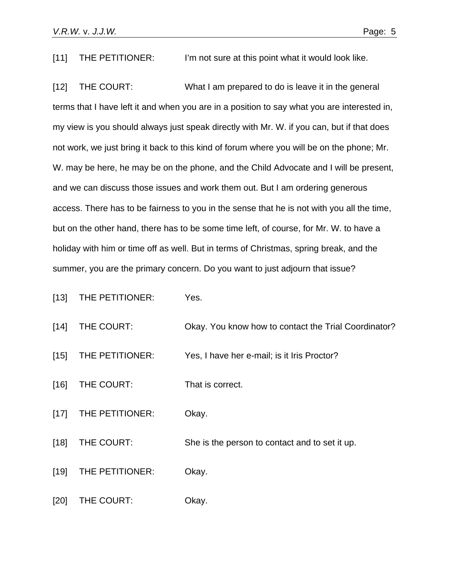[11] THE PETITIONER: I'm not sure at this point what it would look like.

[12] THE COURT: What I am prepared to do is leave it in the general terms that I have left it and when you are in a position to say what you are interested in, my view is you should always just speak directly with Mr. W. if you can, but if that does not work, we just bring it back to this kind of forum where you will be on the phone; Mr. W. may be here, he may be on the phone, and the Child Advocate and I will be present, and we can discuss those issues and work them out. But I am ordering generous access. There has to be fairness to you in the sense that he is not with you all the time, but on the other hand, there has to be some time left, of course, for Mr. W. to have a holiday with him or time off as well. But in terms of Christmas, spring break, and the summer, you are the primary concern. Do you want to just adjourn that issue?

| $[13]$ | THE PETITIONER: | Yes.                                                 |
|--------|-----------------|------------------------------------------------------|
| $[14]$ | THE COURT:      | Okay. You know how to contact the Trial Coordinator? |
| $[15]$ | THE PETITIONER: | Yes, I have her e-mail; is it Iris Proctor?          |
| $[16]$ | THE COURT:      | That is correct.                                     |
| $[17]$ | THE PETITIONER: | Okay.                                                |
| $[18]$ | THE COURT:      | She is the person to contact and to set it up.       |
| $[19]$ | THE PETITIONER: | Okay.                                                |
| [20]   | THE COURT:      | Okay.                                                |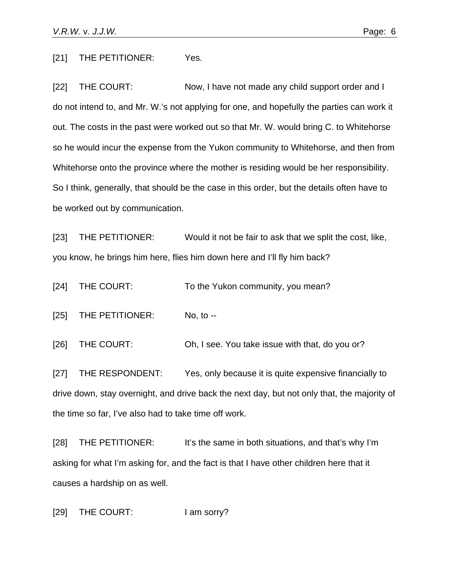[21] THE PETITIONER: Yes.

[22] THE COURT: Now, I have not made any child support order and I do not intend to, and Mr. W.'s not applying for one, and hopefully the parties can work it out. The costs in the past were worked out so that Mr. W. would bring C. to Whitehorse so he would incur the expense from the Yukon community to Whitehorse, and then from Whitehorse onto the province where the mother is residing would be her responsibility. So I think, generally, that should be the case in this order, but the details often have to be worked out by communication.

[23] THE PETITIONER: Would it not be fair to ask that we split the cost, like, you know, he brings him here, flies him down here and I'll fly him back?

[24] THE COURT: To the Yukon community, you mean?

[25] THE PETITIONER: No, to --

[26] THE COURT: Oh, I see. You take issue with that, do you or?

[27] THE RESPONDENT: Yes, only because it is quite expensive financially to drive down, stay overnight, and drive back the next day, but not only that, the majority of the time so far, I've also had to take time off work.

[28] THE PETITIONER: It's the same in both situations, and that's why I'm asking for what I'm asking for, and the fact is that I have other children here that it causes a hardship on as well.

[29] THE COURT: I am sorry?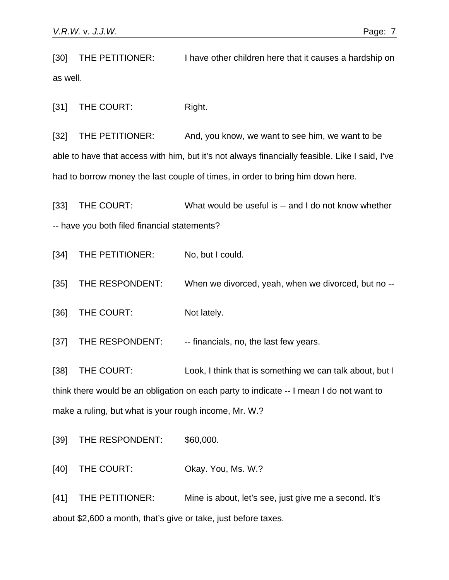[30] THE PETITIONER: I have other children here that it causes a hardship on as well.

[31] THE COURT: Right.

[32] THE PETITIONER: And, you know, we want to see him, we want to be able to have that access with him, but it's not always financially feasible. Like I said, I've had to borrow money the last couple of times, in order to bring him down here.

[33] THE COURT: What would be useful is -- and I do not know whether -- have you both filed financial statements?

[34] THE PETITIONER: No, but I could.

[35] THE RESPONDENT: When we divorced, yeah, when we divorced, but no --

[36] THE COURT: Not lately.

[37] THE RESPONDENT: - -- financials, no, the last few years.

[38] THE COURT: Look, I think that is something we can talk about, but I think there would be an obligation on each party to indicate -- I mean I do not want to make a ruling, but what is your rough income, Mr. W.?

[39] THE RESPONDENT: \$60,000.

[40] THE COURT: Okay. You, Ms. W.?

[41] THE PETITIONER: Mine is about, let's see, just give me a second. It's about \$2,600 a month, that's give or take, just before taxes.